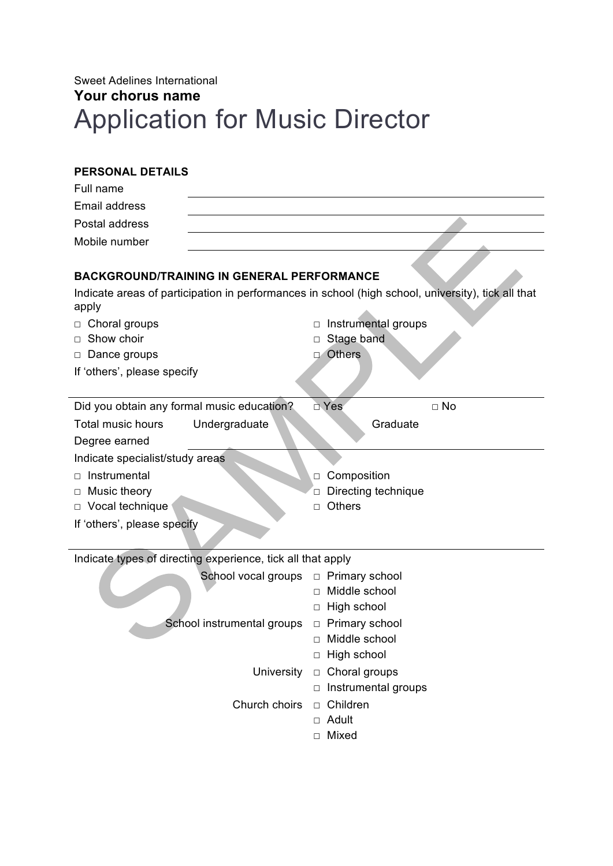## Sweet Adelines International **Your chorus name** Application for Music Director

| <b>PERSONAL DETAILS</b>                                                                                                                                          |                                      |  |
|------------------------------------------------------------------------------------------------------------------------------------------------------------------|--------------------------------------|--|
| Full name                                                                                                                                                        |                                      |  |
| Email address                                                                                                                                                    |                                      |  |
| Postal address                                                                                                                                                   |                                      |  |
| Mobile number                                                                                                                                                    |                                      |  |
| <b>BACKGROUND/TRAINING IN GENERAL PERFORMANCE</b><br>Indicate areas of participation in performances in school (high school, university), tick all that<br>apply |                                      |  |
| □ Choral groups                                                                                                                                                  | Instrumental groups<br>$\Box$        |  |
| Show choir<br>П.                                                                                                                                                 | Stage band<br>□                      |  |
| □ Dance groups                                                                                                                                                   | Others<br>$\Box$                     |  |
| If 'others', please specify                                                                                                                                      |                                      |  |
|                                                                                                                                                                  |                                      |  |
| Did you obtain any formal music education?                                                                                                                       | □ Yes<br>$\Box$ No                   |  |
| <b>Total music hours</b><br>Undergraduate                                                                                                                        | Graduate                             |  |
| Degree earned                                                                                                                                                    |                                      |  |
| Indicate specialist/study areas                                                                                                                                  |                                      |  |
| Instrumental<br>П                                                                                                                                                | Composition<br>$\Box$                |  |
| Music theory<br>□ Vocal technique                                                                                                                                | Directing technique<br><b>Others</b> |  |
|                                                                                                                                                                  | П                                    |  |
| If 'others', please specify                                                                                                                                      |                                      |  |
| Indicate types of directing experience, tick all that apply                                                                                                      |                                      |  |
|                                                                                                                                                                  |                                      |  |
|                                                                                                                                                                  | Middle school<br>П.                  |  |
|                                                                                                                                                                  | High school<br>$\Box$                |  |
| School instrumental groups $\Box$ Primary school                                                                                                                 |                                      |  |
|                                                                                                                                                                  | □ Middle school                      |  |
|                                                                                                                                                                  | □ High school                        |  |
| University                                                                                                                                                       | $\Box$ Choral groups                 |  |
|                                                                                                                                                                  | $\Box$ Instrumental groups           |  |
| Church choirs                                                                                                                                                    | Children<br>$\Box$                   |  |
|                                                                                                                                                                  | □ Adult                              |  |
|                                                                                                                                                                  | Mixed<br>$\Box$                      |  |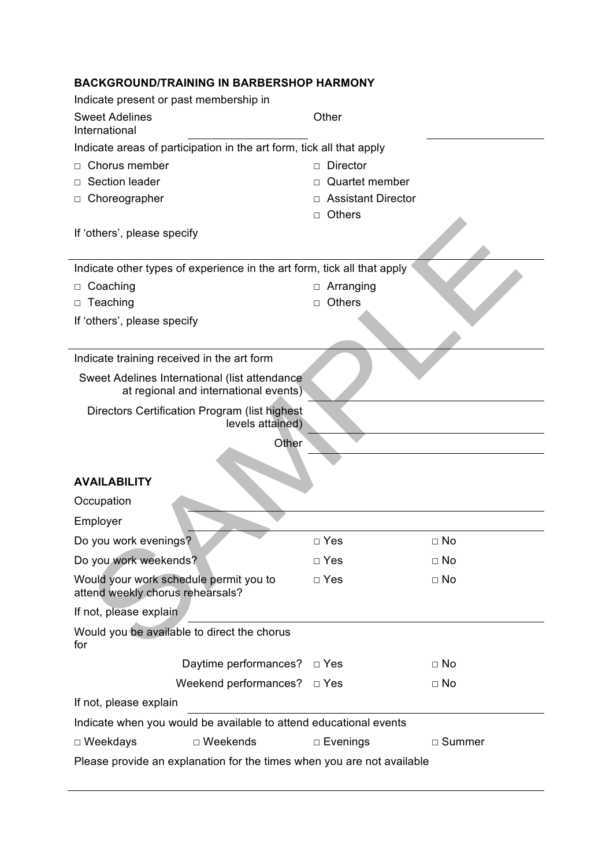## **BACKGROUND/TRAINING IN BARBERSHOP HARMONY**

| Indicate present or past membership in                                                 |                           |           |  |
|----------------------------------------------------------------------------------------|---------------------------|-----------|--|
| <b>Sweet Adelines</b><br>International                                                 | Other                     |           |  |
| Indicate areas of participation in the art form, tick all that apply                   |                           |           |  |
| Chorus member                                                                          | <b>Director</b><br>П      |           |  |
| Section leader<br>П                                                                    | Quartet member<br>п       |           |  |
| Choreographer                                                                          | <b>Assistant Director</b> |           |  |
|                                                                                        | <b>Others</b><br>п        |           |  |
| If 'others', please specify                                                            |                           |           |  |
|                                                                                        |                           |           |  |
| Indicate other types of experience in the art form, tick all that apply                |                           |           |  |
| Coaching<br>□                                                                          | Arranging<br>П.           |           |  |
| Teaching<br>$\Box$                                                                     | <b>Others</b><br>П        |           |  |
| If 'others', please specify                                                            |                           |           |  |
|                                                                                        |                           |           |  |
| Indicate training received in the art form                                             |                           |           |  |
| Sweet Adelines International (list attendance<br>at regional and international events) |                           |           |  |
| Directors Certification Program (list highest<br>levels attained)                      |                           |           |  |
|                                                                                        |                           |           |  |
| Other                                                                                  |                           |           |  |
|                                                                                        |                           |           |  |
| <b>AVAILABILITY</b>                                                                    |                           |           |  |
|                                                                                        |                           |           |  |
| Occupation<br>Employer                                                                 |                           |           |  |
| Do you work evenings?                                                                  | $\Box$ Yes                | $\Box$ No |  |
| Do you work weekends?                                                                  | $\Box$ Yes                | $\Box$ No |  |
|                                                                                        |                           |           |  |
| Would your work schedule permit you to<br>attend weekly chorus rehearsals?             | $\Box$ Yes                | $\Box$ No |  |
| If not, please explain                                                                 |                           |           |  |
| Would you be available to direct the chorus<br>for                                     |                           |           |  |
| Daytime performances?                                                                  | $\Box$ Yes                | $\Box$ No |  |
| Weekend performances?                                                                  | $\Box$ Yes                | $\Box$ No |  |
| If not, please explain                                                                 |                           |           |  |
| Indicate when you would be available to attend educational events                      |                           |           |  |
| $\Box$ Weekends<br>$\Box$ Weekdays                                                     | $\Box$ Evenings           | □ Summer  |  |